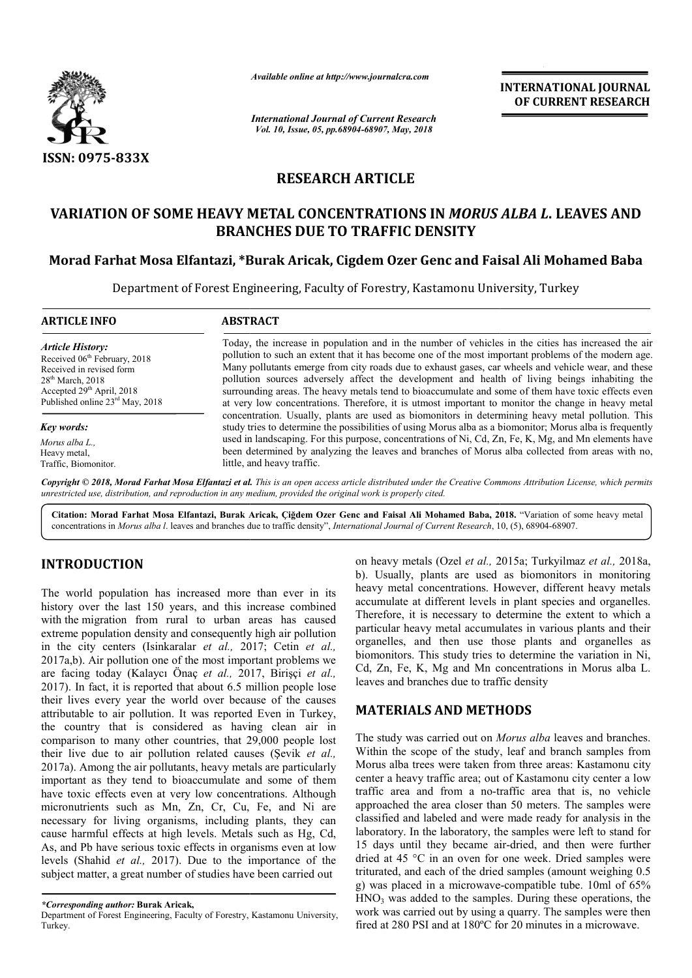

*Available online at http://www.journalcra.com*

*International Journal of Current Research Vol. 10, Issue, 05, pp.68904-68907, May, 2018*

**INTERNATIONAL JOURNAL OF CURRENT RESEARCH**

# **RESEARCH ARTICLE**

## **VARIATION OF SOME HEAVY METAL CONCENTRATIONS IN**  *MORUS ALBA L* **. LEAVES AND BRANCHES DUE TO TRAFFIC DENSITY**

### **Morad Farhat Mosa Elfantazi, \*Burak Aricak, Burak Cigdem Ozer Genc and Faisal Ali Mohamed Baba**

Department of Forest Engineering, Faculty of Forestry, Kastamonu University, Turkey

| <b>ARTICLE INFO</b>                                                                                                                                                                       | <b>ABSTRACT</b>                                                                                                                                                                                                                                                                                                                                                                                                                                                                                                                                                                                                                 |  |  |  |  |  |
|-------------------------------------------------------------------------------------------------------------------------------------------------------------------------------------------|---------------------------------------------------------------------------------------------------------------------------------------------------------------------------------------------------------------------------------------------------------------------------------------------------------------------------------------------------------------------------------------------------------------------------------------------------------------------------------------------------------------------------------------------------------------------------------------------------------------------------------|--|--|--|--|--|
| <b>Article History:</b><br>Received 06 <sup>th</sup> February, 2018<br>Received in revised form<br>$28th$ March, 2018<br>Accepted $29th$ April, 2018<br>Published online $23rd$ May, 2018 | Today, the increase in population and in the number of vehicles in the cities has increased the air<br>pollution to such an extent that it has become one of the most important problems of the modern age.<br>Many pollutants emerge from city roads due to exhaust gases, car wheels and vehicle wear, and these<br>pollution sources adversely affect the development and health of living beings inhabiting the<br>surrounding areas. The heavy metals tend to bioaccumulate and some of them have toxic effects even<br>at very low concentrations. Therefore, it is utmost important to monitor the change in heavy metal |  |  |  |  |  |
| Key words:                                                                                                                                                                                | concentration. Usually, plants are used as biomonitors in determining heavy metal pollution. This<br>study tries to determine the possibilities of using Morus alba as a biomonitor; Morus alba is frequently                                                                                                                                                                                                                                                                                                                                                                                                                   |  |  |  |  |  |
| Morus alba L<br>Heavy metal,<br>Traffic, Biomonitor.                                                                                                                                      | used in landscaping. For this purpose, concentrations of Ni, Cd, Zn, Fe, K, Mg, and Mn elements have<br>been determined by analyzing the leaves and branches of Morus alba collected from areas with no.<br>little, and heavy traffic.                                                                                                                                                                                                                                                                                                                                                                                          |  |  |  |  |  |
|                                                                                                                                                                                           | <b>Convright © 2018. Morad Farhat Mosa Elfantazi et al.</b> This is an open access article distributed under the Creative Commons Attribution License, which permits                                                                                                                                                                                                                                                                                                                                                                                                                                                            |  |  |  |  |  |

*Copyright © 2018, Morad Farhat Mosa Elfantazi et al unrestricted use, distribution, and reproduction in any medium, provided the original work is properly cited. al. This is an open access article distributed under the Creative Commons Attribution License, which permits*

**Citation: Morad Farhat Mosa Elfantazi, Burak Aricak, Çiğdem Ozer Genc and Faisal Ali Mohamed Baba Baba, 201 2018.** "Variation of some heavy metal concentrations in *Morus alba l.* leaves and branches due to traffic density", *International Journal of Current Research*, 10, (5), 68904-68907.

## **INTRODUCTION**

The world population has increased more than ever in its history over the last 150 years, and this increase combined with the migration from rural to urban areas has caused extreme population density and consequently high air pollution in the city centers (Isinkaralar *et al.,* 2017; Cetin *et al.,*  2017a,b). Air pollution one of the most important problems we are facing today (Kalaycı Önaç *et al.,* 2017, Birişçi *et al.,*  2017). In fact, it is reported that about 6.5 million people lose their lives every year the world over because of the causes attributable to air pollution. It was reported Even in Turkey, the country that is considered as having clean air in comparison to many other countries, that 29,000 people lost their live due to air pollution related causes (Şevik *et al.,*  2017a). Among the air pollutants, heavy metals are particularly important as they tend to bioaccumulate and some of them have toxic effects even at very low concentrations. Although micronutrients such as Mn, Zn, Cr, Cu, Fe, and Ni are necessary for living organisms, including plants, they can cause harmful effects at high levels. Metals such as Hg, Cd, As, and Pb have serious toxic effects in organisms even at low levels (Shahid *et al.,* 2017). Due to the importance of the subject matter, a great number of studies have been carried out

on heavy metals (Ozel et al., 2015a; Turkyilmaz et al., 2018a, b). Usually, plants are used as biomonitors in monitoring heavy metal concentrations. However, different heavy metals accumulate at different levels in plant species and organelles. Therefore, it is necessary to determine the extent to which a particular heavy metal accumulates in various plants and their organelles, and then use those plants and organelles as biomonitors. This study tries to determine the variation in Ni, Cd, Zn, Fe, K, Mg and Mn concentrations in Morus alba L. leaves and branches due to traffic density leaves and branches due to traffic density are used as biomonitors in monitoring<br>rations. However, different heavy metals<br>ent levels in plant species and organelles. Therefore, it is necessary to determine the extent to which a particular heavy metal accumulates in various plants and their organelles, and then use those plants and organelles as biomonitors. This study tries to determin

### **MATERIALS AND METHODS METHODS**

The study was carried out on *Morus alba* leaves and branches. Within the scope of the study, leaf and branch samples from Morus alba trees were taken from three areas: Kastamonu city Morus alba trees were taken from three areas: Kastamonu city center a heavy traffic area; out of Kastamonu city center a low traffic area and from a no-traffic area that is, no vehicle approached the area closer than 50 meters. The samples were classified and labeled and were made ready for analysis in the laboratory. In the laboratory, the samples were left to stand for laboratory. In the laboratory, the samples were left to stand for 15 days until they became air-dried, and then were further dried at 45 °C in an oven for one week. Dried samples were dried at 45 °C in an oven for one week. Dried samples were triturated, and each of the dried samples (amount weighing 0.5) g) was placed in a microwave-compatible tube. 10ml of 65%  $HNO<sub>3</sub>$  was added to the samples. During these operations, the work was carried out by using a quarry. The samples were then fired at 280 PSI and at 180ºC for 20 minutes in a microwave. **INTERNATIONAL JOURNAL**<br>
Contents of **CURRENT RESEARCH**<br>
Contents of **CURRENT RESEARCH**<br>
contents of *m*, *3018*<br> **C.E.**<br> **C.E.**<br> **C.E.**<br> **C.E.**<br> **C.E.**<br> **C.E.**<br> **C.E.**<br> **C.E.**<br> **C.E.**<br> **C.E.**<br> **C.E.**<br> **C.E.**<br> **C.E.**<br> **C.** 

*<sup>\*</sup>Corresponding author:* **Burak Aricak,** 

Department of Forest Engineering, Faculty of Forestry, Kastamonu University, Turkey.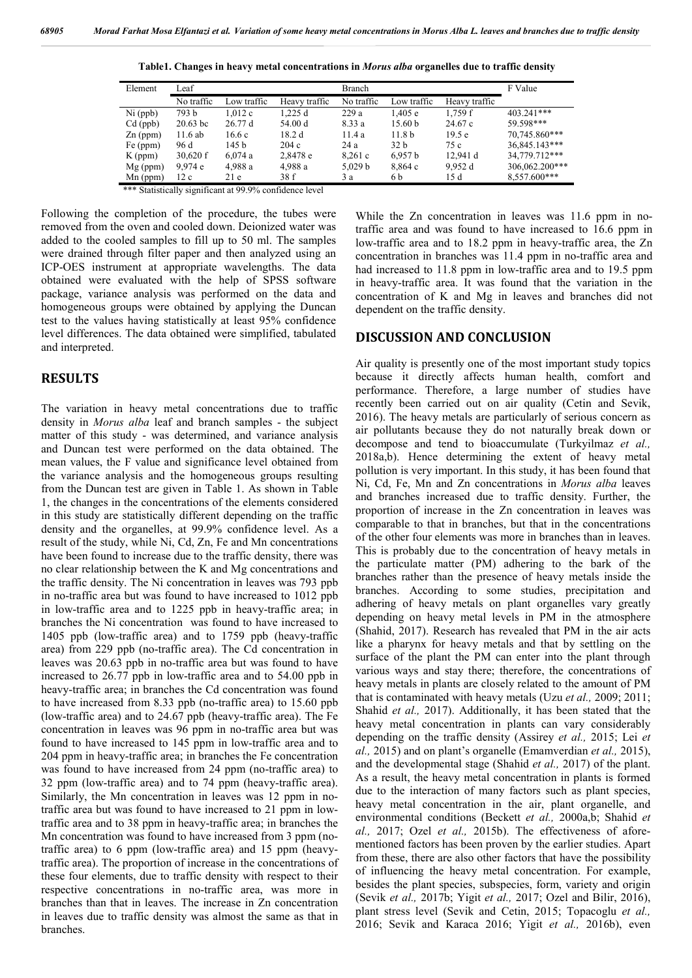| Element    | Leaf       |             |               | Branch     |                    |               | F Value        |
|------------|------------|-------------|---------------|------------|--------------------|---------------|----------------|
|            | No traffic | Low traffic | Heavy traffic | No traffic | Low traffic        | Heavy traffic |                |
| $Ni$ (ppb) | 793 b      | 1.012c      | 1.225d        | 229a       | 1.405 e            | 1.759f        | 403.241***     |
| $Cd$ (ppb) | $20.63$ bc | 26.77d      | 54.00 d       | 8.33 a     | 15.60 <sub>b</sub> | 24.67c        | 59.598***      |
| $Zn$ (ppm) | 11.6ab     | 16.6c       | 18.2 d        | 11.4 a     | 11.8 <sub>b</sub>  | 19.5e         | 70.745.860***  |
| Fe (ppm)   | 96 d       | 145 b       | 204c          | 24a        | 32 b               | 75 c          | 36,845.143***  |
| $K$ (ppm)  | $30,620$ f | 6,074a      | 2,8478 e      | 8,261c     | 6,957 b            | 12.941 d      | 34,779.712***  |
| $Mg$ (ppm) | 9.974e     | 4,988 a     | 4,988 a       | 5.029 b    | 8,864c             | 9.952 d       | 306,062.200*** |
| $Mn$ (ppm) | 12c        | 21e         | 38 f          | 3 a        | 6 b                | 15 d          | 8.557.600***   |

**Table1. Changes in heavy metal concentrations in** *Morus alba* **organelles due to traffic density**

\*\*\* Statistically significant at 99.9% confidence level

Following the completion of the procedure, the tubes were removed from the oven and cooled down. Deionized water was added to the cooled samples to fill up to 50 ml. The samples were drained through filter paper and then analyzed using an ICP-OES instrument at appropriate wavelengths. The data obtained were evaluated with the help of SPSS software package, variance analysis was performed on the data and homogeneous groups were obtained by applying the Duncan test to the values having statistically at least 95% confidence level differences. The data obtained were simplified, tabulated and interpreted.

### **RESULTS**

The variation in heavy metal concentrations due to traffic density in *Morus alba* leaf and branch samples - the subject matter of this study - was determined, and variance analysis and Duncan test were performed on the data obtained. The mean values, the F value and significance level obtained from the variance analysis and the homogeneous groups resulting from the Duncan test are given in Table 1. As shown in Table 1, the changes in the concentrations of the elements considered in this study are statistically different depending on the traffic density and the organelles, at 99.9% confidence level. As a result of the study, while Ni, Cd, Zn, Fe and Mn concentrations have been found to increase due to the traffic density, there was no clear relationship between the K and Mg concentrations and the traffic density. The Ni concentration in leaves was 793 ppb in no-traffic area but was found to have increased to 1012 ppb in low-traffic area and to 1225 ppb in heavy-traffic area; in branches the Ni concentration was found to have increased to 1405 ppb (low-traffic area) and to 1759 ppb (heavy-traffic area) from 229 ppb (no-traffic area). The Cd concentration in leaves was 20.63 ppb in no-traffic area but was found to have increased to 26.77 ppb in low-traffic area and to 54.00 ppb in heavy-traffic area; in branches the Cd concentration was found to have increased from 8.33 ppb (no-traffic area) to 15.60 ppb (low-traffic area) and to 24.67 ppb (heavy-traffic area). The Fe concentration in leaves was 96 ppm in no-traffic area but was found to have increased to 145 ppm in low-traffic area and to 204 ppm in heavy-traffic area; in branches the Fe concentration was found to have increased from 24 ppm (no-traffic area) to 32 ppm (low-traffic area) and to 74 ppm (heavy-traffic area). Similarly, the Mn concentration in leaves was 12 ppm in notraffic area but was found to have increased to 21 ppm in lowtraffic area and to 38 ppm in heavy-traffic area; in branches the Mn concentration was found to have increased from 3 ppm (notraffic area) to 6 ppm (low-traffic area) and 15 ppm (heavytraffic area). The proportion of increase in the concentrations of these four elements, due to traffic density with respect to their respective concentrations in no-traffic area, was more in branches than that in leaves. The increase in Zn concentration in leaves due to traffic density was almost the same as that in branches.

While the Zn concentration in leaves was 11.6 ppm in notraffic area and was found to have increased to 16.6 ppm in low-traffic area and to 18.2 ppm in heavy-traffic area, the Zn concentration in branches was 11.4 ppm in no-traffic area and had increased to 11.8 ppm in low-traffic area and to 19.5 ppm in heavy-traffic area. It was found that the variation in the concentration of K and Mg in leaves and branches did not dependent on the traffic density.

#### **DISCUSSION AND CONCLUSION**

Air quality is presently one of the most important study topics because it directly affects human health, comfort and performance. Therefore, a large number of studies have recently been carried out on air quality (Cetin and Sevik, 2016). The heavy metals are particularly of serious concern as air pollutants because they do not naturally break down or decompose and tend to bioaccumulate (Turkyilmaz *et al.,*  2018a,b). Hence determining the extent of heavy metal pollution is very important. In this study, it has been found that Ni, Cd, Fe, Mn and Zn concentrations in *Morus alba* leaves and branches increased due to traffic density. Further, the proportion of increase in the Zn concentration in leaves was comparable to that in branches, but that in the concentrations of the other four elements was more in branches than in leaves. This is probably due to the concentration of heavy metals in the particulate matter (PM) adhering to the bark of the branches rather than the presence of heavy metals inside the branches. According to some studies, precipitation and adhering of heavy metals on plant organelles vary greatly depending on heavy metal levels in PM in the atmosphere (Shahid, 2017). Research has revealed that PM in the air acts like a pharynx for heavy metals and that by settling on the surface of the plant the PM can enter into the plant through various ways and stay there; therefore, the concentrations of heavy metals in plants are closely related to the amount of PM that is contaminated with heavy metals (Uzu *et al.,* 2009; 2011; Shahid *et al.,* 2017). Additionally, it has been stated that the heavy metal concentration in plants can vary considerably depending on the traffic density (Assirey *et al.,* 2015; Lei *et al.,* 2015) and on plant's organelle (Emamverdian *et al.,* 2015), and the developmental stage (Shahid *et al.,* 2017) of the plant. As a result, the heavy metal concentration in plants is formed due to the interaction of many factors such as plant species, heavy metal concentration in the air, plant organelle, and environmental conditions (Beckett *et al.,* 2000a,b; Shahid *et al.,* 2017; Ozel *et al.,* 2015b). The effectiveness of aforementioned factors has been proven by the earlier studies. Apart from these, there are also other factors that have the possibility of influencing the heavy metal concentration. For example, besides the plant species, subspecies, form, variety and origin (Sevik *et al.,* 2017b; Yigit *et al.,* 2017; Ozel and Bilir, 2016), plant stress level (Sevik and Cetin, 2015; Topacoglu *et al.,*  2016; Sevik and Karaca 2016; Yigit *et al.,* 2016b), even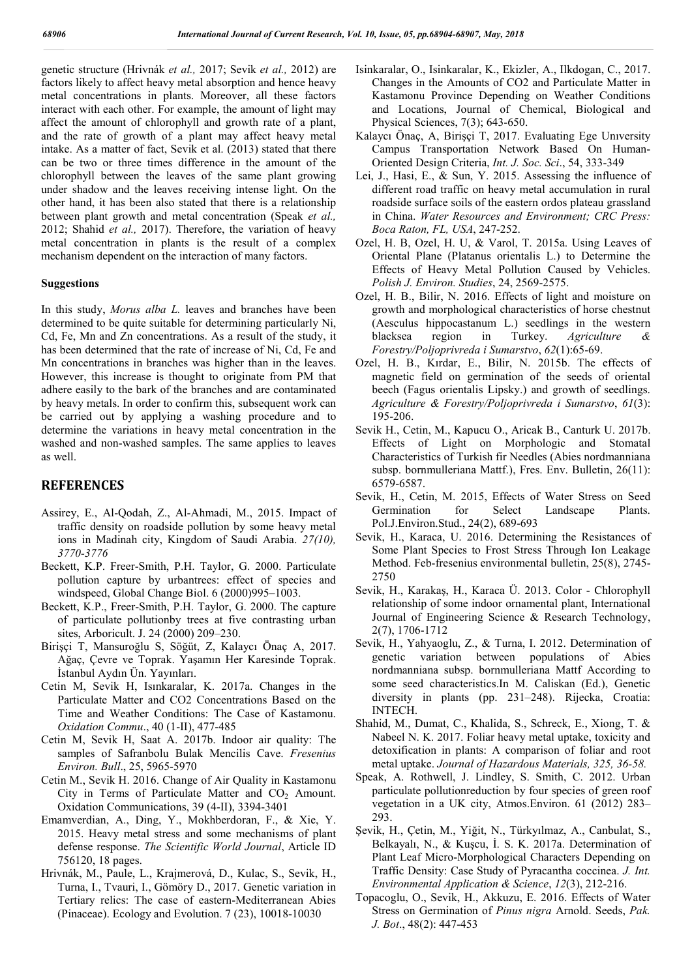genetic structure (Hrivnák *et al.,* 2017; Sevik *et al.,* 2012) are factors likely to affect heavy metal absorption and hence heavy metal concentrations in plants. Moreover, all these factors interact with each other. For example, the amount of light may affect the amount of chlorophyll and growth rate of a plant, and the rate of growth of a plant may affect heavy metal intake. As a matter of fact, Sevik et al. (2013) stated that there can be two or three times difference in the amount of the chlorophyll between the leaves of the same plant growing under shadow and the leaves receiving intense light. On the other hand, it has been also stated that there is a relationship between plant growth and metal concentration (Speak *et al.,*  2012; Shahid *et al.,* 2017). Therefore, the variation of heavy metal concentration in plants is the result of a complex mechanism dependent on the interaction of many factors.

#### **Suggestions**

In this study, *Morus alba L.* leaves and branches have been determined to be quite suitable for determining particularly Ni, Cd, Fe, Mn and Zn concentrations. As a result of the study, it has been determined that the rate of increase of Ni, Cd, Fe and Mn concentrations in branches was higher than in the leaves. However, this increase is thought to originate from PM that adhere easily to the bark of the branches and are contaminated by heavy metals. In order to confirm this, subsequent work can be carried out by applying a washing procedure and to determine the variations in heavy metal concentration in the washed and non-washed samples. The same applies to leaves as well.

#### **REFERENCES**

- Assirey, E., Al-Qodah, Z., Al-Ahmadi, M., 2015. Impact of traffic density on roadside pollution by some heavy metal ions in Madinah city, Kingdom of Saudi Arabia. *27(10), 3770-3776*
- Beckett, K.P. Freer-Smith, P.H. Taylor, G. 2000. Particulate pollution capture by urbantrees: effect of species and windspeed, Global Change Biol. 6 (2000)995–1003.
- Beckett, K.P., Freer-Smith, P.H. Taylor, G. 2000. The capture of particulate pollutionby trees at five contrasting urban sites, Arboricult. J. 24 (2000) 209–230.
- Birişçi T, Mansuroğlu S, Söğüt, Z, Kalaycı Önaç A, 2017. Ağaç, Çevre ve Toprak. Yaşamın Her Karesinde Toprak. İstanbul Aydın Ün. Yayınları.
- Cetin M, Sevik H, Isınkaralar, K. 2017a. Changes in the Particulate Matter and CO2 Concentrations Based on the Time and Weather Conditions: The Case of Kastamonu. *Oxidation Commu*., 40 (1-II), 477-485
- Cetin M, Sevik H, Saat A. 2017b. Indoor air quality: The samples of Safranbolu Bulak Mencilis Cave. *Fresenius Environ. Bull*., 25, 5965-5970
- Cetin M., Sevik H. 2016. Change of Air Quality in Kastamonu City in Terms of Particulate Matter and  $CO<sub>2</sub>$  Amount. Oxidation Communications, 39 (4-II), 3394-3401
- Emamverdian, A., Ding, Y., Mokhberdoran, F., & Xie, Y. 2015. Heavy metal stress and some mechanisms of plant defense response. *The Scientific World Journal*, Article ID 756120, 18 pages.
- Hrivnák, M., Paule, L., Krajmerová, D., Kulac, S., Sevik, H., Turna, I., Tvauri, I., Gömöry D., 2017. Genetic variation in Tertiary relics: The case of eastern-Mediterranean Abies (Pinaceae). Ecology and Evolution. 7 (23), 10018-10030
- Isinkaralar, O., Isinkaralar, K., Ekizler, A., Ilkdogan, C., 2017. Changes in the Amounts of CO2 and Particulate Matter in Kastamonu Province Depending on Weather Conditions and Locations, Journal of Chemical, Biological and Physical Sciences, 7(3); 643-650.
- Kalaycı Önaç, A, Birişçi T, 2017. Evaluating Ege Unıversity Campus Transportation Network Based On Human-Oriented Design Criteria, *Int. J. Soc. Sci*., 54, 333-349
- Lei, J., Hasi, E., & Sun, Y. 2015. Assessing the influence of different road traffic on heavy metal accumulation in rural roadside surface soils of the eastern ordos plateau grassland in China. *Water Resources and Environment; CRC Press: Boca Raton, FL, USA*, 247-252.
- Ozel, H. B, Ozel, H. U, & Varol, T. 2015a. Using Leaves of Oriental Plane (Platanus orientalis L.) to Determine the Effects of Heavy Metal Pollution Caused by Vehicles. *Polish J. Environ. Studies*, 24, 2569-2575.
- Ozel, H. B., Bilir, N. 2016. Effects of light and moisture on growth and morphological characteristics of horse chestnut (Aesculus hippocastanum L.) seedlings in the western blacksea region in Turkey. *Agriculture & Forestry/Poljoprivreda i Sumarstvo*, *62*(1):65-69.
- Ozel, H. B., Kırdar, E., Bilir, N. 2015b. The effects of magnetic field on germination of the seeds of oriental beech (Fagus orientalis Lipsky.) and growth of seedlings. *Agriculture & Forestry/Poljoprivreda i Sumarstvo*, *61*(3): 195-206.
- Sevik H., Cetin, M., Kapucu O., Aricak B., Canturk U. 2017b. Effects of Light on Morphologic and Stomatal Characteristics of Turkish fir Needles (Abies nordmanniana subsp. bornmulleriana Mattf.), Fres. Env. Bulletin, 26(11): 6579-6587.
- Sevik, H., Cetin, M. 2015, Effects of Water Stress on Seed Germination for Select Landscape Plants. Pol.J.Environ.Stud., 24(2), 689-693
- Sevik, H., Karaca, U. 2016. Determining the Resistances of Some Plant Species to Frost Stress Through Ion Leakage Method. Feb-fresenius environmental bulletin, 25(8), 2745- 2750
- Sevik, H., Karakaş, H., Karaca Ü. 2013. Color Chlorophyll relationship of some indoor ornamental plant, International Journal of Engineering Science & Research Technology, 2(7), 1706-1712
- Sevik, H., Yahyaoglu, Z., & Turna, I. 2012. Determination of genetic variation between populations of Abies nordmanniana subsp. bornmulleriana Mattf According to some seed characteristics.In M. Caliskan (Ed.), Genetic diversity in plants (pp. 231–248). Rijecka, Croatia: INTECH.
- Shahid, M., Dumat, C., Khalida, S., Schreck, E., Xiong, T. & Nabeel N. K. 2017. Foliar heavy metal uptake, toxicity and detoxification in plants: A comparison of foliar and root metal uptake. *Journal of Hazardous Materials, 325, 36-58.*
- Speak, A. Rothwell, J. Lindley, S. Smith, C. 2012. Urban particulate pollutionreduction by four species of green roof vegetation in a UK city, Atmos.Environ. 61 (2012) 283– 293.
- Şevik, H., Çetin, M., Yiğit, N., Türkyılmaz, A., Canbulat, S., Belkayalı, N., & Kuşcu, İ. S. K. 2017a. Determination of Plant Leaf Micro-Morphological Characters Depending on Traffic Density: Case Study of Pyracantha coccinea. *J. Int. Environmental Application & Science*, *12*(3), 212-216.
- Topacoglu, O., Sevik, H., Akkuzu, E. 2016. Effects of Water Stress on Germination of *Pinus nigra* Arnold. Seeds, *Pak. J. Bot*., 48(2): 447-453